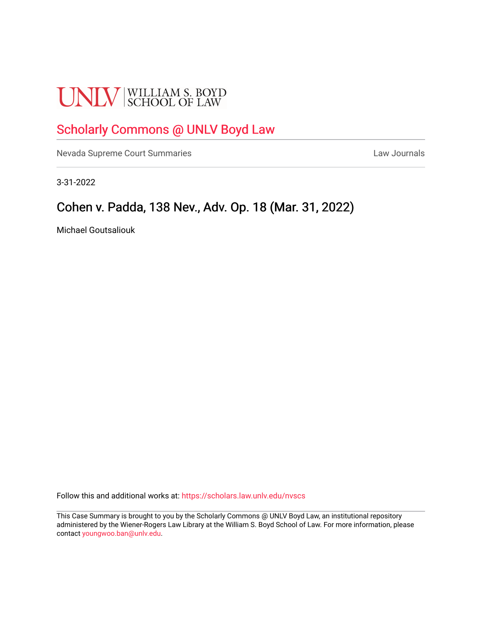# **UNLV** SCHOOL OF LAW

# [Scholarly Commons @ UNLV Boyd Law](https://scholars.law.unlv.edu/)

[Nevada Supreme Court Summaries](https://scholars.law.unlv.edu/nvscs) **Law Journals** Law Journals

3-31-2022

# Cohen v. Padda, 138 Nev., Adv. Op. 18 (Mar. 31, 2022)

Michael Goutsaliouk

Follow this and additional works at: [https://scholars.law.unlv.edu/nvscs](https://scholars.law.unlv.edu/nvscs?utm_source=scholars.law.unlv.edu%2Fnvscs%2F1480&utm_medium=PDF&utm_campaign=PDFCoverPages)

This Case Summary is brought to you by the Scholarly Commons @ UNLV Boyd Law, an institutional repository administered by the Wiener-Rogers Law Library at the William S. Boyd School of Law. For more information, please contact [youngwoo.ban@unlv.edu](mailto:youngwoo.ban@unlv.edu).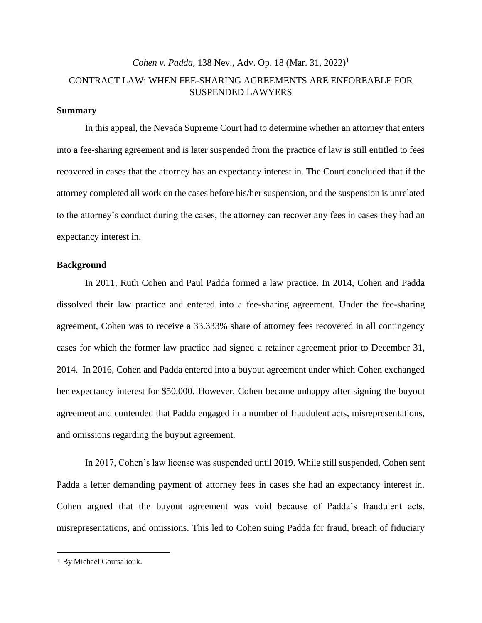## *Cohen v. Padda, 138 Nev., Adv. Op. 18 (Mar. 31, 2022)<sup>1</sup>* CONTRACT LAW: WHEN FEE-SHARING AGREEMENTS ARE ENFOREABLE FOR SUSPENDED LAWYERS

### **Summary**

In this appeal, the Nevada Supreme Court had to determine whether an attorney that enters into a fee-sharing agreement and is later suspended from the practice of law is still entitled to fees recovered in cases that the attorney has an expectancy interest in. The Court concluded that if the attorney completed all work on the cases before his/her suspension, and the suspension is unrelated to the attorney's conduct during the cases, the attorney can recover any fees in cases they had an expectancy interest in.

#### **Background**

In 2011, Ruth Cohen and Paul Padda formed a law practice. In 2014, Cohen and Padda dissolved their law practice and entered into a fee-sharing agreement. Under the fee-sharing agreement, Cohen was to receive a 33.333% share of attorney fees recovered in all contingency cases for which the former law practice had signed a retainer agreement prior to December 31, 2014. In 2016, Cohen and Padda entered into a buyout agreement under which Cohen exchanged her expectancy interest for \$50,000. However, Cohen became unhappy after signing the buyout agreement and contended that Padda engaged in a number of fraudulent acts, misrepresentations, and omissions regarding the buyout agreement.

In 2017, Cohen's law license was suspended until 2019. While still suspended, Cohen sent Padda a letter demanding payment of attorney fees in cases she had an expectancy interest in. Cohen argued that the buyout agreement was void because of Padda's fraudulent acts, misrepresentations, and omissions. This led to Cohen suing Padda for fraud, breach of fiduciary

<sup>1</sup> By Michael Goutsaliouk.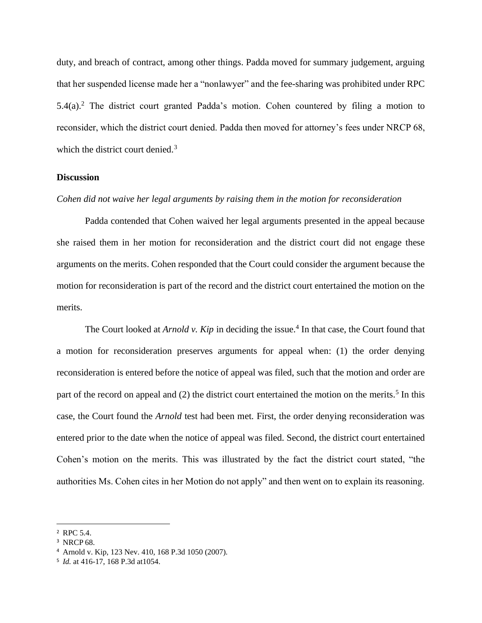duty, and breach of contract, among other things. Padda moved for summary judgement, arguing that her suspended license made her a "nonlawyer" and the fee-sharing was prohibited under RPC  $5.4(a)$ .<sup>2</sup> The district court granted Padda's motion. Cohen countered by filing a motion to reconsider, which the district court denied. Padda then moved for attorney's fees under NRCP 68, which the district court denied.<sup>3</sup>

## **Discussion**

## *Cohen did not waive her legal arguments by raising them in the motion for reconsideration*

Padda contended that Cohen waived her legal arguments presented in the appeal because she raised them in her motion for reconsideration and the district court did not engage these arguments on the merits. Cohen responded that the Court could consider the argument because the motion for reconsideration is part of the record and the district court entertained the motion on the merits.

The Court looked at *Arnold v. Kip* in deciding the issue.<sup>4</sup> In that case, the Court found that a motion for reconsideration preserves arguments for appeal when: (1) the order denying reconsideration is entered before the notice of appeal was filed, such that the motion and order are part of the record on appeal and (2) the district court entertained the motion on the merits.<sup>5</sup> In this case, the Court found the *Arnold* test had been met. First, the order denying reconsideration was entered prior to the date when the notice of appeal was filed. Second, the district court entertained Cohen's motion on the merits. This was illustrated by the fact the district court stated, "the authorities Ms. Cohen cites in her Motion do not apply" and then went on to explain its reasoning.

<sup>2</sup> RPC 5.4.

<sup>&</sup>lt;sup>3</sup> NRCP 68.

<sup>4</sup> Arnold v. Kip, 123 Nev. 410, 168 P.3d 1050 (2007).

<sup>5</sup> *Id.* at 416-17, 168 P.3d at1054.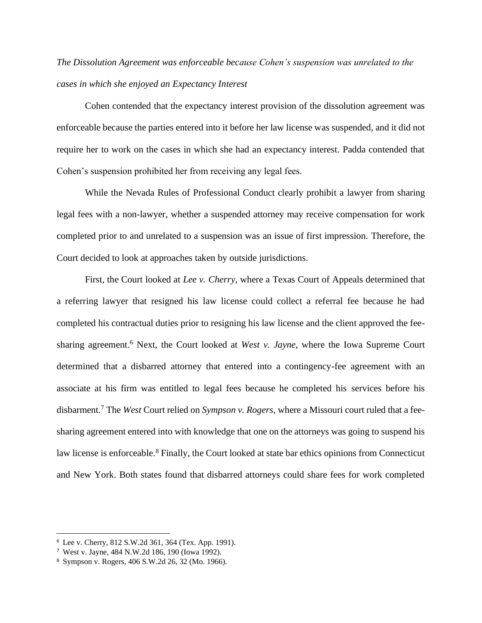# *The Dissolution Agreement was enforceable because Cohen's suspension was unrelated to the cases in which she enjoyed an Expectancy Interest*

Cohen contended that the expectancy interest provision of the dissolution agreement was enforceable because the parties entered into it before her law license was suspended, and it did not require her to work on the cases in which she had an expectancy interest. Padda contended that Cohen's suspension prohibited her from receiving any legal fees.

While the Nevada Rules of Professional Conduct clearly prohibit a lawyer from sharing legal fees with a non-lawyer, whether a suspended attorney may receive compensation for work completed prior to and unrelated to a suspension was an issue of first impression. Therefore, the Court decided to look at approaches taken by outside jurisdictions.

First, the Court looked at *Lee v. Cherry*, where a Texas Court of Appeals determined that a referring lawyer that resigned his law license could collect a referral fee because he had completed his contractual duties prior to resigning his law license and the client approved the feesharing agreement.<sup>6</sup> Next, the Court looked at *West v. Jayne*, where the Iowa Supreme Court determined that a disbarred attorney that entered into a contingency-fee agreement with an associate at his firm was entitled to legal fees because he completed his services before his disbarment.<sup>7</sup> The *West* Court relied on *Sympson v. Rogers*, where a Missouri court ruled that a feesharing agreement entered into with knowledge that one on the attorneys was going to suspend his law license is enforceable.<sup>8</sup> Finally, the Court looked at state bar ethics opinions from Connecticut and New York. Both states found that disbarred attorneys could share fees for work completed

<sup>6</sup> Lee v. Cherry, 812 S.W.2d 361, 364 (Tex. App. 1991).

<sup>7</sup> West v. Jayne, 484 N.W.2d 186, 190 (Iowa 1992).

<sup>8</sup> Sympson v. Rogers, 406 S.W.2d 26, 32 (Mo. 1966).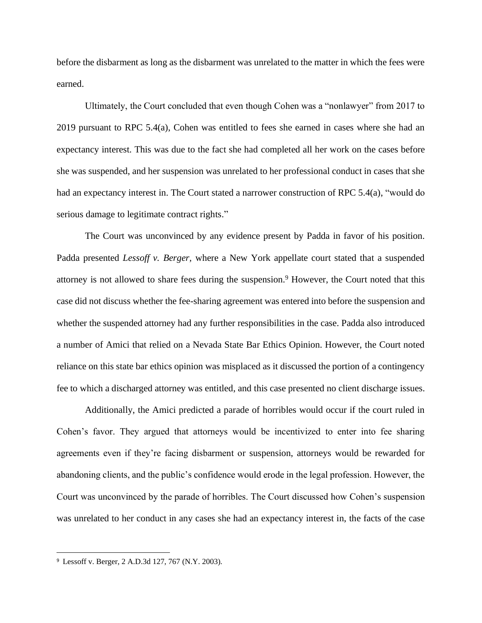before the disbarment as long as the disbarment was unrelated to the matter in which the fees were earned.

Ultimately, the Court concluded that even though Cohen was a "nonlawyer" from 2017 to 2019 pursuant to RPC 5.4(a), Cohen was entitled to fees she earned in cases where she had an expectancy interest. This was due to the fact she had completed all her work on the cases before she was suspended, and her suspension was unrelated to her professional conduct in cases that she had an expectancy interest in. The Court stated a narrower construction of RPC 5.4(a), "would do serious damage to legitimate contract rights."

The Court was unconvinced by any evidence present by Padda in favor of his position. Padda presented *Lessoff v. Berger,* where a New York appellate court stated that a suspended attorney is not allowed to share fees during the suspension.<sup>9</sup> However, the Court noted that this case did not discuss whether the fee-sharing agreement was entered into before the suspension and whether the suspended attorney had any further responsibilities in the case. Padda also introduced a number of Amici that relied on a Nevada State Bar Ethics Opinion. However, the Court noted reliance on this state bar ethics opinion was misplaced as it discussed the portion of a contingency fee to which a discharged attorney was entitled, and this case presented no client discharge issues.

Additionally, the Amici predicted a parade of horribles would occur if the court ruled in Cohen's favor. They argued that attorneys would be incentivized to enter into fee sharing agreements even if they're facing disbarment or suspension, attorneys would be rewarded for abandoning clients, and the public's confidence would erode in the legal profession. However, the Court was unconvinced by the parade of horribles. The Court discussed how Cohen's suspension was unrelated to her conduct in any cases she had an expectancy interest in, the facts of the case

<sup>9</sup> Lessoff v. Berger, 2 A.D.3d 127, 767 (N.Y. 2003).